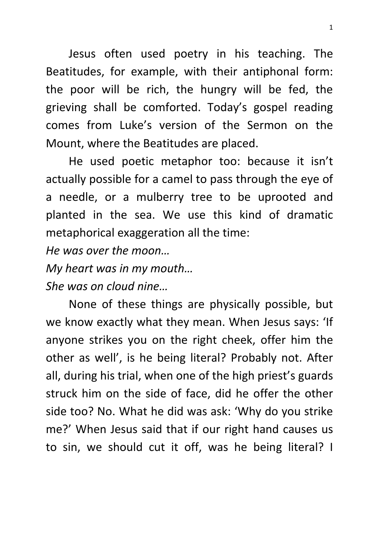Jesus often used poetry in his teaching. The Beatitudes, for example, with their antiphonal form: the poor will be rich, the hungry will be fed, the grieving shall be comforted. Today's gospel reading comes from Luke's version of the Sermon on the Mount, where the Beatitudes are placed.

He used poetic metaphor too: because it isn't actually possible for a camel to pass through the eye of a needle, or a mulberry tree to be uprooted and planted in the sea. We use this kind of dramatic metaphorical exaggeration all the time:

*He was over the moon…* 

*My heart was in my mouth… She was on cloud nine…*

None of these things are physically possible, but we know exactly what they mean. When Jesus says: 'If anyone strikes you on the right cheek, offer him the other as well', is he being literal? Probably not. After all, during his trial, when one of the high priest's guards struck him on the side of face, did he offer the other side too? No. What he did was ask: 'Why do you strike me?' When Jesus said that if our right hand causes us to sin, we should cut it off, was he being literal? I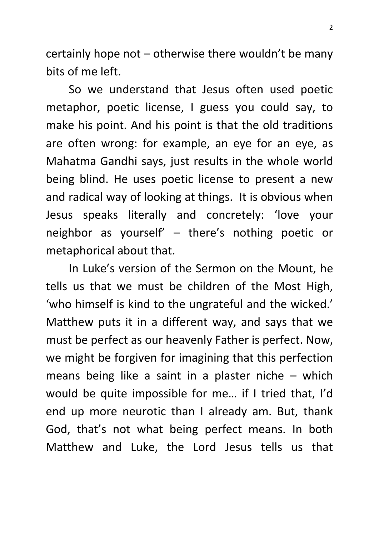certainly hope not – otherwise there wouldn't be many bits of me left.

So we understand that Jesus often used poetic metaphor, poetic license, I guess you could say, to make his point. And his point is that the old traditions are often wrong: for example, an eye for an eye, as Mahatma Gandhi says, just results in the whole world being blind. He uses poetic license to present a new and radical way of looking at things. It is obvious when Jesus speaks literally and concretely: 'love your neighbor as yourself' – there's nothing poetic or metaphorical about that.

In Luke's version of the Sermon on the Mount, he tells us that we must be children of the Most High, 'who himself is kind to the ungrateful and the wicked.' Matthew puts it in a different way, and says that we must be perfect as our heavenly Father is perfect. Now, we might be forgiven for imagining that this perfection means being like a saint in a plaster niche – which would be quite impossible for me… if I tried that, I'd end up more neurotic than I already am. But, thank God, that's not what being perfect means. In both Matthew and Luke, the Lord Jesus tells us that